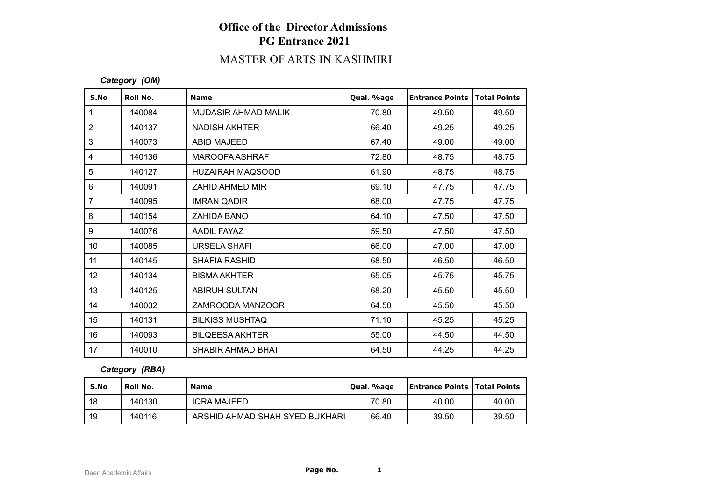# **Office of the Director Admissions PG Entrance 2021**

# MASTER OF ARTS IN KASHMIRI

### *Category (OM)*

| S.No            | Roll No. | <b>Name</b>             | Qual. %age | <b>Entrance Points</b> | <b>Total Points</b> |
|-----------------|----------|-------------------------|------------|------------------------|---------------------|
| $\mathbf{1}$    | 140084   | MUDASIR AHMAD MALIK     | 70.80      | 49.50                  | 49.50               |
| $\overline{2}$  | 140137   | <b>NADISH AKHTER</b>    | 66.40      | 49.25                  | 49.25               |
| 3               | 140073   | ABID MAJEED             | 67.40      | 49.00                  | 49.00               |
| $\overline{4}$  | 140136   | <b>MAROOFA ASHRAF</b>   | 72.80      | 48.75                  | 48.75               |
| 5               | 140127   | <b>HUZAIRAH MAQSOOD</b> | 61.90      | 48.75                  | 48.75               |
| 6               | 140091   | ZAHID AHMED MIR         | 69.10      | 47.75                  | 47.75               |
| $\overline{7}$  | 140095   | <b>IMRAN QADIR</b>      | 68.00      | 47.75                  | 47.75               |
| 8               | 140154   | ZAHIDA BANO             | 64.10      | 47.50                  | 47.50               |
| 9               | 140076   | AADIL FAYAZ             | 59.50      | 47.50                  | 47.50               |
| 10 <sup>°</sup> | 140085   | URSELA SHAFI            | 66.00      | 47.00                  | 47.00               |
| 11              | 140145   | <b>SHAFIA RASHID</b>    | 68.50      | 46.50                  | 46.50               |
| 12              | 140134   | <b>BISMA AKHTER</b>     | 65.05      | 45.75                  | 45.75               |
| 13              | 140125   | <b>ABIRUH SULTAN</b>    | 68.20      | 45.50                  | 45.50               |
| 14              | 140032   | ZAMROODA MANZOOR        | 64.50      | 45.50                  | 45.50               |
| 15              | 140131   | <b>BILKISS MUSHTAQ</b>  | 71.10      | 45.25                  | 45.25               |
| 16              | 140093   | <b>BILQEESA AKHTER</b>  | 55.00      | 44.50                  | 44.50               |
| 17              | 140010   | SHABIR AHMAD BHAT       | 64.50      | 44.25                  | 44.25               |

#### *Category (RBA)*

| S.No | Roll No. | <b>Name</b>                    | Qual. %age | <b>Entrance Points   Total Points</b> |       |
|------|----------|--------------------------------|------------|---------------------------------------|-------|
| 18   | 140130   | <b>IQRA MAJEED</b>             | 70.80      | 40.00                                 | 40.00 |
| 19   | 140116   | ARSHID AHMAD SHAH SYED BUKHARI | 66.40      | 39.50                                 | 39.50 |